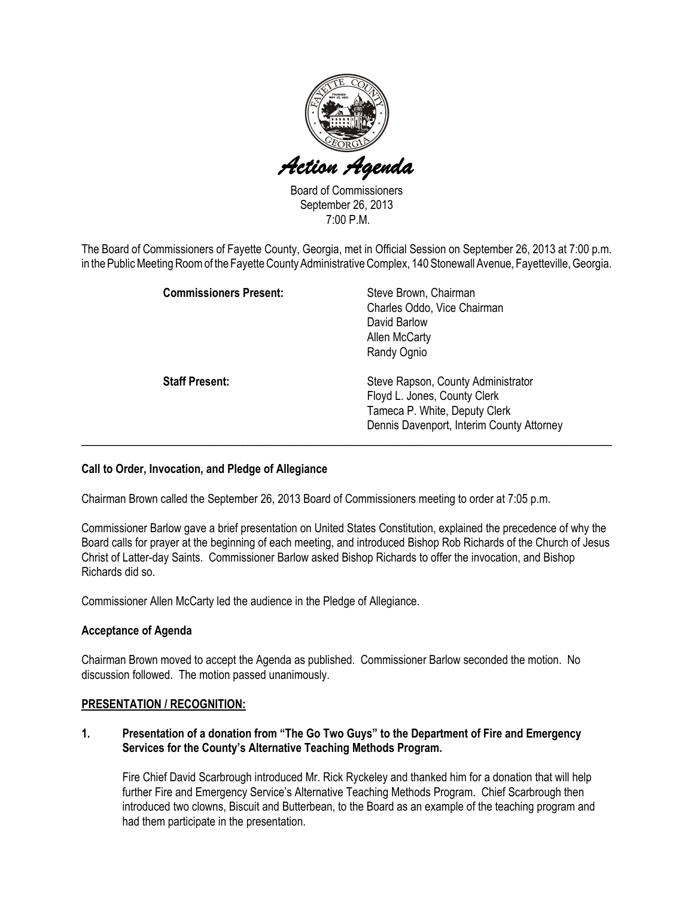

Board of Commissioners September 26, 2013 7:00 P.M.

The Board of Commissioners of Fayette County, Georgia, met in Official Session on September 26, 2013 at 7:00 p.m. in the Public Meeting Room of the Fayette County Administrative Complex, 140 Stonewall Avenue, Fayetteville, Georgia.

| <b>Commissioners Present:</b> | Steve Brown, Chairman<br>Charles Oddo, Vice Chairman<br>David Barlow<br><b>Allen McCarty</b><br>Randy Ognio                                      |
|-------------------------------|--------------------------------------------------------------------------------------------------------------------------------------------------|
| <b>Staff Present:</b>         | Steve Rapson, County Administrator<br>Floyd L. Jones, County Clerk<br>Tameca P. White, Deputy Clerk<br>Dennis Davenport, Interim County Attorney |

### Call to Order, Invocation, and Pledge of Allegiance

Chairman Brown called the September 26, 2013 Board of Commissioners meeting to order at 7:05 p.m.

Commissioner Barlow gave a brief presentation on United States Constitution, explained the precedence of why the Board calls for prayer at the beginning of each meeting, and introduced Bishop Rob Richards of the Church of Jesus Christ of Latter-day Saints. Commissioner Barlow asked Bishop Richards to offer the invocation, and Bishop Richards did so.

Commissioner Allen McCarty led the audience in the Pledge of Allegiance.

### Acceptance of Agenda

Chairman Brown moved to accept the Agenda as published. Commissioner Barlow seconded the motion. No discussion followed. The motion passed unanimously.

### PRESENTATION / RECOGNITION:

1. Presentation of a donation from "The Go Two Guys" to the Department of Fire and Emergency Services for the County's Alternative Teaching Methods Program.

Fire Chief David Scarbrough introduced Mr. Rick Ryckeley and thanked him for a donation that will help further Fire and Emergency Service's Alternative Teaching Methods Program. Chief Scarbrough then introduced two clowns, Biscuit and Butterbean, to the Board as an example of the teaching program and had them participate in the presentation.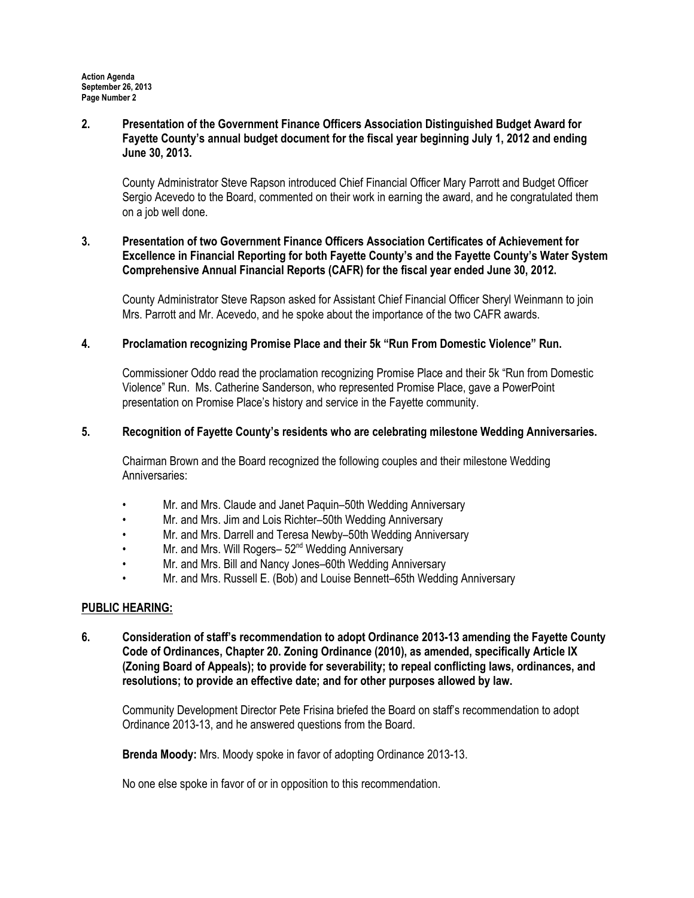### 2. Presentation of the Government Finance Officers Association Distinguished Budget Award for Fayette County's annual budget document for the fiscal year beginning July 1, 2012 and ending June 30, 2013.

County Administrator Steve Rapson introduced Chief Financial Officer Mary Parrott and Budget Officer Sergio Acevedo to the Board, commented on their work in earning the award, and he congratulated them on a job well done.

## 3. Presentation of two Government Finance Officers Association Certificates of Achievement for Excellence in Financial Reporting for both Fayette County's and the Fayette County's Water System Comprehensive Annual Financial Reports (CAFR) for the fiscal year ended June 30, 2012.

County Administrator Steve Rapson asked for Assistant Chief Financial Officer Sheryl Weinmann to join Mrs. Parrott and Mr. Acevedo, and he spoke about the importance of the two CAFR awards.

## 4. Proclamation recognizing Promise Place and their 5k "Run From Domestic Violence" Run.

Commissioner Oddo read the proclamation recognizing Promise Place and their 5k "Run from Domestic Violence" Run. Ms. Catherine Sanderson, who represented Promise Place, gave a PowerPoint presentation on Promise Place's history and service in the Fayette community.

### 5. Recognition of Fayette County's residents who are celebrating milestone Wedding Anniversaries.

Chairman Brown and the Board recognized the following couples and their milestone Wedding Anniversaries:

- Mr. and Mrs. Claude and Janet Paquin–50th Wedding Anniversary
- Mr. and Mrs. Jim and Lois Richter–50th Wedding Anniversary
- Mr. and Mrs. Darrell and Teresa Newby–50th Wedding Anniversary
- Mr. and Mrs. Will Rogers- 52<sup>nd</sup> Wedding Anniversary
- Mr. and Mrs. Bill and Nancy Jones–60th Wedding Anniversary
- Mr. and Mrs. Russell E. (Bob) and Louise Bennett–65th Wedding Anniversary

### PUBLIC HEARING:

6. Consideration of staff's recommendation to adopt Ordinance 2013-13 amending the Fayette County Code of Ordinances, Chapter 20. Zoning Ordinance (2010), as amended, specifically Article IX (Zoning Board of Appeals); to provide for severability; to repeal conflicting laws, ordinances, and resolutions; to provide an effective date; and for other purposes allowed by law.

Community Development Director Pete Frisina briefed the Board on staff's recommendation to adopt Ordinance 2013-13, and he answered questions from the Board.

Brenda Moody: Mrs. Moody spoke in favor of adopting Ordinance 2013-13.

No one else spoke in favor of or in opposition to this recommendation.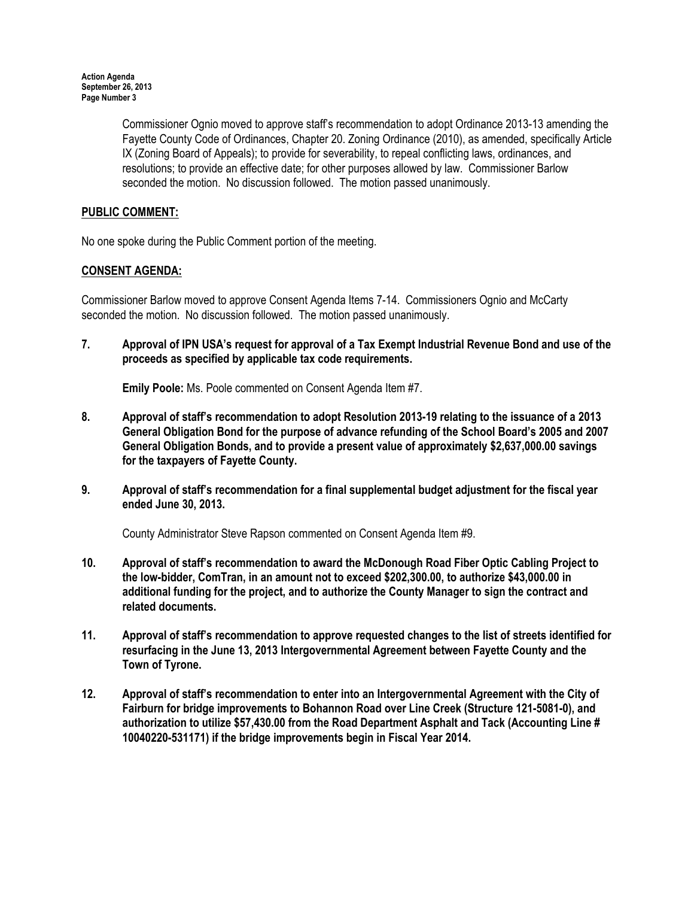Commissioner Ognio moved to approve staff's recommendation to adopt Ordinance 2013-13 amending the Fayette County Code of Ordinances, Chapter 20. Zoning Ordinance (2010), as amended, specifically Article IX (Zoning Board of Appeals); to provide for severability, to repeal conflicting laws, ordinances, and resolutions; to provide an effective date; for other purposes allowed by law. Commissioner Barlow seconded the motion. No discussion followed. The motion passed unanimously.

# PUBLIC COMMENT:

No one spoke during the Public Comment portion of the meeting.

# CONSENT AGENDA:

Commissioner Barlow moved to approve Consent Agenda Items 7-14. Commissioners Ognio and McCarty seconded the motion. No discussion followed. The motion passed unanimously.

7. Approval of IPN USA's request for approval of a Tax Exempt Industrial Revenue Bond and use of the proceeds as specified by applicable tax code requirements.

Emily Poole: Ms. Poole commented on Consent Agenda Item #7.

- 8. Approval of staff's recommendation to adopt Resolution 2013-19 relating to the issuance of a 2013 General Obligation Bond for the purpose of advance refunding of the School Board's 2005 and 2007 General Obligation Bonds, and to provide a present value of approximately \$2,637,000.00 savings for the taxpayers of Fayette County.
- 9. Approval of staff's recommendation for a final supplemental budget adjustment for the fiscal year ended June 30, 2013.

County Administrator Steve Rapson commented on Consent Agenda Item #9.

- 10. Approval of staff's recommendation to award the McDonough Road Fiber Optic Cabling Project to the low-bidder, ComTran, in an amount not to exceed \$202,300.00, to authorize \$43,000.00 in additional funding for the project, and to authorize the County Manager to sign the contract and related documents.
- 11. Approval of staff's recommendation to approve requested changes to the list of streets identified for resurfacing in the June 13, 2013 Intergovernmental Agreement between Fayette County and the Town of Tyrone.
- 12. Approval of staff's recommendation to enter into an Intergovernmental Agreement with the City of Fairburn for bridge improvements to Bohannon Road over Line Creek (Structure 121-5081-0), and authorization to utilize \$57,430.00 from the Road Department Asphalt and Tack (Accounting Line # 10040220-531171) if the bridge improvements begin in Fiscal Year 2014.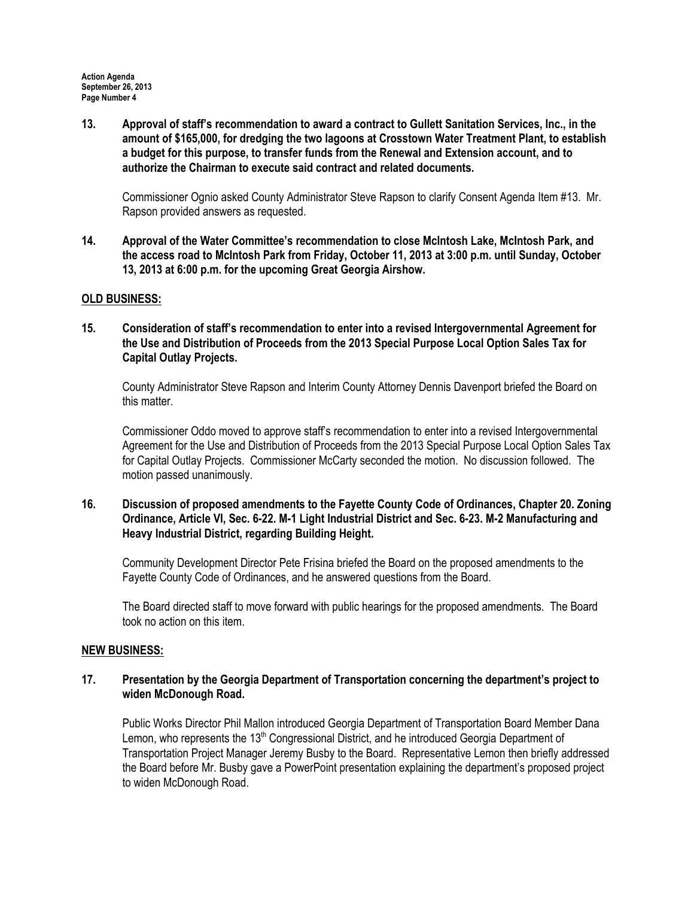13. Approval of staff's recommendation to award a contract to Gullett Sanitation Services, Inc., in the amount of \$165,000, for dredging the two lagoons at Crosstown Water Treatment Plant, to establish a budget for this purpose, to transfer funds from the Renewal and Extension account, and to authorize the Chairman to execute said contract and related documents.

Commissioner Ognio asked County Administrator Steve Rapson to clarify Consent Agenda Item #13. Mr. Rapson provided answers as requested.

14. Approval of the Water Committee's recommendation to close McIntosh Lake, McIntosh Park, and the access road to McIntosh Park from Friday, October 11, 2013 at 3:00 p.m. until Sunday, October 13, 2013 at 6:00 p.m. for the upcoming Great Georgia Airshow.

### OLD BUSINESS:

15. Consideration of staff's recommendation to enter into a revised Intergovernmental Agreement for the Use and Distribution of Proceeds from the 2013 Special Purpose Local Option Sales Tax for Capital Outlay Projects.

County Administrator Steve Rapson and Interim County Attorney Dennis Davenport briefed the Board on this matter.

Commissioner Oddo moved to approve staff's recommendation to enter into a revised Intergovernmental Agreement for the Use and Distribution of Proceeds from the 2013 Special Purpose Local Option Sales Tax for Capital Outlay Projects. Commissioner McCarty seconded the motion. No discussion followed. The motion passed unanimously.

16. Discussion of proposed amendments to the Fayette County Code of Ordinances, Chapter 20. Zoning Ordinance, Article VI, Sec. 6-22. M-1 Light Industrial District and Sec. 6-23. M-2 Manufacturing and Heavy Industrial District, regarding Building Height.

Community Development Director Pete Frisina briefed the Board on the proposed amendments to the Fayette County Code of Ordinances, and he answered questions from the Board.

The Board directed staff to move forward with public hearings for the proposed amendments. The Board took no action on this item.

### NEW BUSINESS:

## 17. Presentation by the Georgia Department of Transportation concerning the department's project to widen McDonough Road.

Public Works Director Phil Mallon introduced Georgia Department of Transportation Board Member Dana Lemon, who represents the 13<sup>th</sup> Congressional District, and he introduced Georgia Department of Transportation Project Manager Jeremy Busby to the Board. Representative Lemon then briefly addressed the Board before Mr. Busby gave a PowerPoint presentation explaining the department's proposed project to widen McDonough Road.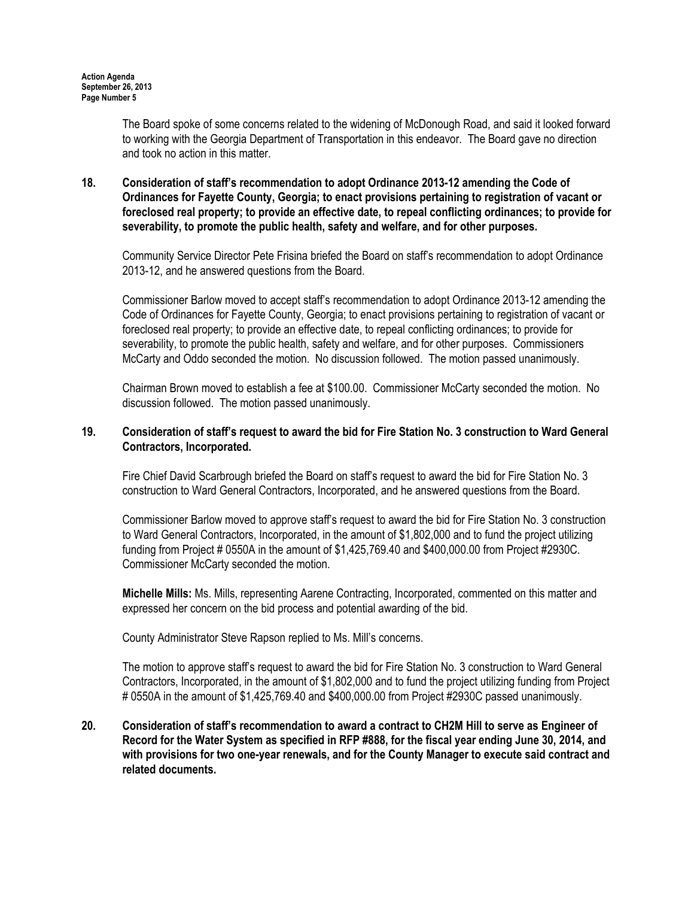The Board spoke of some concerns related to the widening of McDonough Road, and said it looked forward to working with the Georgia Department of Transportation in this endeavor. The Board gave no direction and took no action in this matter.

18. Consideration of staff's recommendation to adopt Ordinance 2013-12 amending the Code of Ordinances for Fayette County, Georgia; to enact provisions pertaining to registration of vacant or foreclosed real property; to provide an effective date, to repeal conflicting ordinances; to provide for severability, to promote the public health, safety and welfare, and for other purposes.

Community Service Director Pete Frisina briefed the Board on staff's recommendation to adopt Ordinance 2013-12, and he answered questions from the Board.

Commissioner Barlow moved to accept staff's recommendation to adopt Ordinance 2013-12 amending the Code of Ordinances for Fayette County, Georgia; to enact provisions pertaining to registration of vacant or foreclosed real property; to provide an effective date, to repeal conflicting ordinances; to provide for severability, to promote the public health, safety and welfare, and for other purposes. Commissioners McCarty and Oddo seconded the motion. No discussion followed. The motion passed unanimously.

Chairman Brown moved to establish a fee at \$100.00. Commissioner McCarty seconded the motion. No discussion followed. The motion passed unanimously.

### 19. Consideration of staff's request to award the bid for Fire Station No. 3 construction to Ward General Contractors, Incorporated.

Fire Chief David Scarbrough briefed the Board on staff's request to award the bid for Fire Station No. 3 construction to Ward General Contractors, Incorporated, and he answered questions from the Board.

Commissioner Barlow moved to approve staff's request to award the bid for Fire Station No. 3 construction to Ward General Contractors, Incorporated, in the amount of \$1,802,000 and to fund the project utilizing funding from Project # 0550A in the amount of \$1,425,769.40 and \$400,000.00 from Project #2930C. Commissioner McCarty seconded the motion.

Michelle Mills: Ms. Mills, representing Aarene Contracting, Incorporated, commented on this matter and expressed her concern on the bid process and potential awarding of the bid.

County Administrator Steve Rapson replied to Ms. Mill's concerns.

The motion to approve staff's request to award the bid for Fire Station No. 3 construction to Ward General Contractors, Incorporated, in the amount of \$1,802,000 and to fund the project utilizing funding from Project # 0550A in the amount of \$1,425,769.40 and \$400,000.00 from Project #2930C passed unanimously.

20. Consideration of staff's recommendation to award a contract to CH2M Hill to serve as Engineer of Record for the Water System as specified in RFP #888, for the fiscal year ending June 30, 2014, and with provisions for two one-year renewals, and for the County Manager to execute said contract and related documents.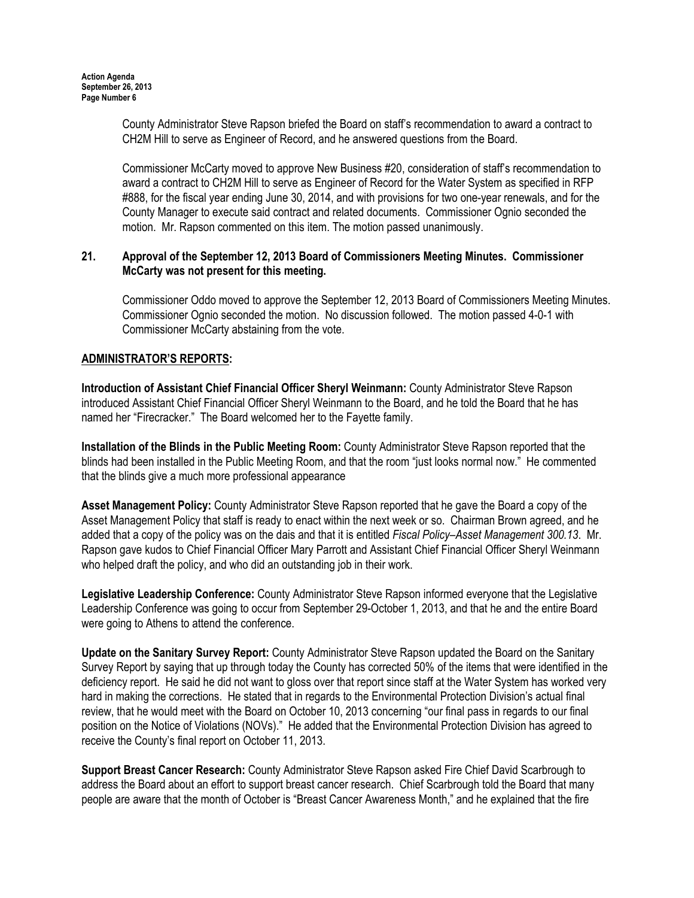County Administrator Steve Rapson briefed the Board on staff's recommendation to award a contract to CH2M Hill to serve as Engineer of Record, and he answered questions from the Board.

Commissioner McCarty moved to approve New Business #20, consideration of staff's recommendation to award a contract to CH2M Hill to serve as Engineer of Record for the Water System as specified in RFP #888, for the fiscal year ending June 30, 2014, and with provisions for two one-year renewals, and for the County Manager to execute said contract and related documents. Commissioner Ognio seconded the motion. Mr. Rapson commented on this item. The motion passed unanimously.

# 21. Approval of the September 12, 2013 Board of Commissioners Meeting Minutes. Commissioner McCarty was not present for this meeting.

Commissioner Oddo moved to approve the September 12, 2013 Board of Commissioners Meeting Minutes. Commissioner Ognio seconded the motion. No discussion followed. The motion passed 4-0-1 with Commissioner McCarty abstaining from the vote.

# ADMINISTRATOR'S REPORTS:

Introduction of Assistant Chief Financial Officer Sheryl Weinmann: County Administrator Steve Rapson introduced Assistant Chief Financial Officer Sheryl Weinmann to the Board, and he told the Board that he has named her "Firecracker." The Board welcomed her to the Fayette family.

Installation of the Blinds in the Public Meeting Room: County Administrator Steve Rapson reported that the blinds had been installed in the Public Meeting Room, and that the room "just looks normal now." He commented that the blinds give a much more professional appearance

Asset Management Policy: County Administrator Steve Rapson reported that he gave the Board a copy of the Asset Management Policy that staff is ready to enact within the next week or so. Chairman Brown agreed, and he added that a copy of the policy was on the dais and that it is entitled Fiscal Policy–Asset Management 300.13. Mr. Rapson gave kudos to Chief Financial Officer Mary Parrott and Assistant Chief Financial Officer Sheryl Weinmann who helped draft the policy, and who did an outstanding job in their work.

Legislative Leadership Conference: County Administrator Steve Rapson informed everyone that the Legislative Leadership Conference was going to occur from September 29-October 1, 2013, and that he and the entire Board were going to Athens to attend the conference.

Update on the Sanitary Survey Report: County Administrator Steve Rapson updated the Board on the Sanitary Survey Report by saying that up through today the County has corrected 50% of the items that were identified in the deficiency report. He said he did not want to gloss over that report since staff at the Water System has worked very hard in making the corrections. He stated that in regards to the Environmental Protection Division's actual final review, that he would meet with the Board on October 10, 2013 concerning "our final pass in regards to our final position on the Notice of Violations (NOVs)." He added that the Environmental Protection Division has agreed to receive the County's final report on October 11, 2013.

Support Breast Cancer Research: County Administrator Steve Rapson asked Fire Chief David Scarbrough to address the Board about an effort to support breast cancer research. Chief Scarbrough told the Board that many people are aware that the month of October is "Breast Cancer Awareness Month," and he explained that the fire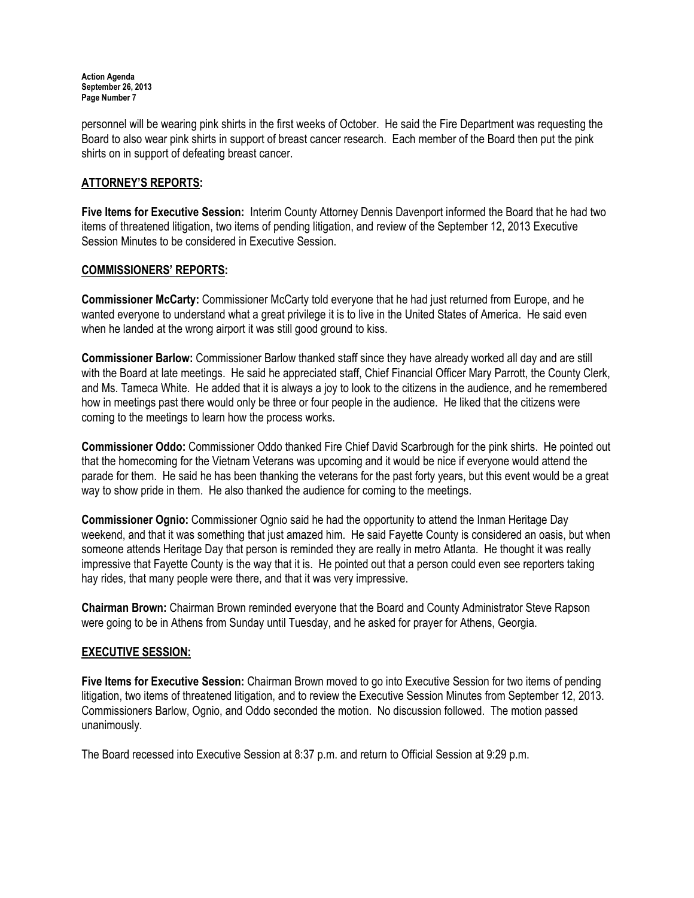Action Agenda September 26, 2013 Page Number 7

personnel will be wearing pink shirts in the first weeks of October. He said the Fire Department was requesting the Board to also wear pink shirts in support of breast cancer research. Each member of the Board then put the pink shirts on in support of defeating breast cancer.

# ATTORNEY'S REPORTS:

Five Items for Executive Session: Interim County Attorney Dennis Davenport informed the Board that he had two items of threatened litigation, two items of pending litigation, and review of the September 12, 2013 Executive Session Minutes to be considered in Executive Session.

## COMMISSIONERS' REPORTS:

Commissioner McCarty: Commissioner McCarty told everyone that he had just returned from Europe, and he wanted everyone to understand what a great privilege it is to live in the United States of America. He said even when he landed at the wrong airport it was still good ground to kiss.

Commissioner Barlow: Commissioner Barlow thanked staff since they have already worked all day and are still with the Board at late meetings. He said he appreciated staff, Chief Financial Officer Mary Parrott, the County Clerk, and Ms. Tameca White. He added that it is always a joy to look to the citizens in the audience, and he remembered how in meetings past there would only be three or four people in the audience. He liked that the citizens were coming to the meetings to learn how the process works.

Commissioner Oddo: Commissioner Oddo thanked Fire Chief David Scarbrough for the pink shirts. He pointed out that the homecoming for the Vietnam Veterans was upcoming and it would be nice if everyone would attend the parade for them. He said he has been thanking the veterans for the past forty years, but this event would be a great way to show pride in them. He also thanked the audience for coming to the meetings.

Commissioner Ognio: Commissioner Ognio said he had the opportunity to attend the Inman Heritage Day weekend, and that it was something that just amazed him. He said Fayette County is considered an oasis, but when someone attends Heritage Day that person is reminded they are really in metro Atlanta. He thought it was really impressive that Fayette County is the way that it is. He pointed out that a person could even see reporters taking hay rides, that many people were there, and that it was very impressive.

Chairman Brown: Chairman Brown reminded everyone that the Board and County Administrator Steve Rapson were going to be in Athens from Sunday until Tuesday, and he asked for prayer for Athens, Georgia.

### EXECUTIVE SESSION:

Five Items for Executive Session: Chairman Brown moved to go into Executive Session for two items of pending litigation, two items of threatened litigation, and to review the Executive Session Minutes from September 12, 2013. Commissioners Barlow, Ognio, and Oddo seconded the motion. No discussion followed. The motion passed unanimously.

The Board recessed into Executive Session at 8:37 p.m. and return to Official Session at 9:29 p.m.